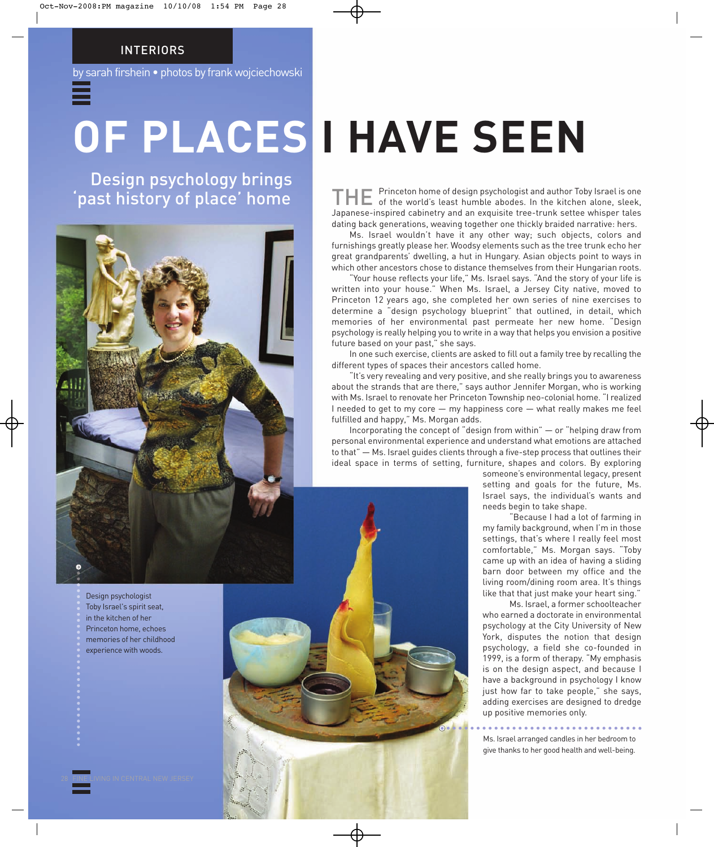## INTERIORS

by sarah firshein • photos by frank wojciechowski

# **OF PLACES I HAVE SEEN**

Design psychology brings<br>'past history of place' home



Design psychologist Toby Israel's spirit seat, in the kitchen of her Princeton home, echoes memories of her childhood experience with woods.

past history of place' home THE Princeton home of design psychologist and author Toby Israel is one Japanese-inspired cabinetry and an exquisite tree-trunk settee whisper tales dating back generations, weaving together one thickly braided narrative: hers.

Ms. Israel wouldn't have it any other way; such objects, colors and furnishings greatly please her. Woodsy elements such as the tree trunk echo her great grandparents' dwelling, a hut in Hungary. Asian objects point to ways in which other ancestors chose to distance themselves from their Hungarian roots.

"Your house reflects your life," Ms. Israel says. "And the story of your life is written into your house." When Ms. Israel, a Jersey City native, moved to Princeton 12 years ago, she completed her own series of nine exercises to determine a "design psychology blueprint" that outlined, in detail, which memories of her environmental past permeate her new home. "Design psychology is really helping you to write in a way that helps you envision a positive future based on your past," she says.

In one such exercise, clients are asked to fill out a family tree by recalling the different types of spaces their ancestors called home.

"It's very revealing and very positive, and she really brings you to awareness about the strands that are there," says author Jennifer Morgan, who is working with Ms. Israel to renovate her Princeton Township neo-colonial home. "I realized I needed to get to my core — my happiness core — what really makes me feel fulfilled and happy," Ms. Morgan adds.

Incorporating the concept of "design from within" — or "helping draw from personal environmental experience and understand what emotions are attached to that" — Ms. Israel guides clients through a five-step process that outlines their ideal space in terms of setting, furniture, shapes and colors. By exploring

 $\overline{\mathbf{o}}$ 

someone's environmental legacy, present setting and goals for the future, Ms. Israel says, the individual's wants and needs begin to take shape.

"Because I had a lot of farming in my family background, when I'm in those settings, that's where I really feel most comfortable," Ms. Morgan says. "Toby came up with an idea of having a sliding barn door between my office and the living room/dining room area. It's things like that that just make your heart sing."

Ms. Israel, a former schoolteacher who earned a doctorate in environmental psychology at the City University of New York, disputes the notion that design psychology, a field she co-founded in 1999, is a form of therapy. "My emphasis is on the design aspect, and because I have a background in psychology I know just how far to take people," she says, adding exercises are designed to dredge up positive memories only.

Ms. Israel arranged candles in her bedroom to give thanks to her good health and well-being.